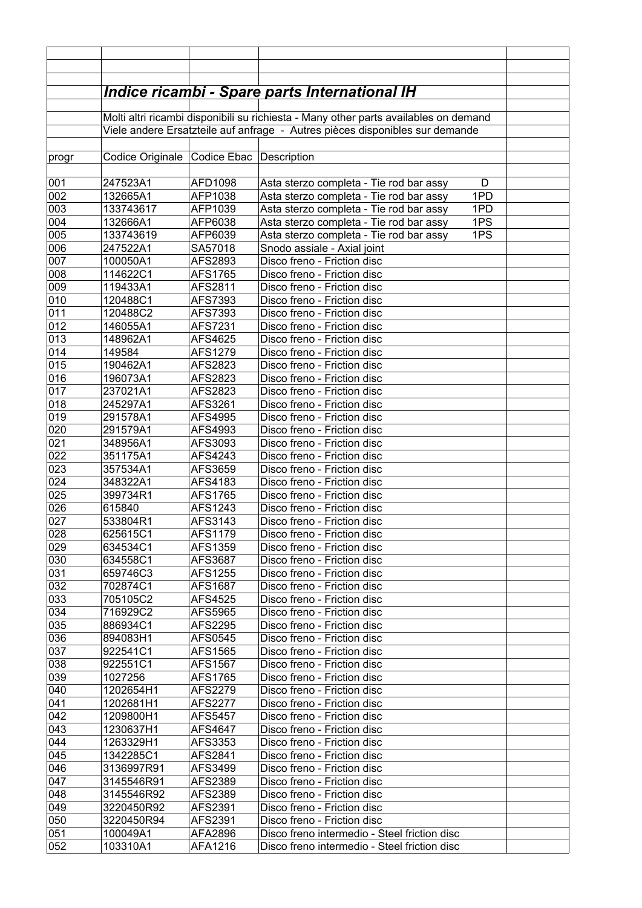|            |                                                                                                                                                                      |                           | <u> Indice ricambi - Spare parts International IH</u>                                            |  |  |  |
|------------|----------------------------------------------------------------------------------------------------------------------------------------------------------------------|---------------------------|--------------------------------------------------------------------------------------------------|--|--|--|
|            |                                                                                                                                                                      |                           |                                                                                                  |  |  |  |
|            | Molti altri ricambi disponibili su richiesta - Many other parts availables on demand<br>Viele andere Ersatzteile auf anfrage - Autres pièces disponibles sur demande |                           |                                                                                                  |  |  |  |
|            |                                                                                                                                                                      |                           |                                                                                                  |  |  |  |
| progr      | Codice Originale                                                                                                                                                     | Codice Ebac Description   |                                                                                                  |  |  |  |
|            |                                                                                                                                                                      |                           |                                                                                                  |  |  |  |
| 001        | 247523A1                                                                                                                                                             | AFD1098                   | Asta sterzo completa - Tie rod bar assy<br>D                                                     |  |  |  |
| 002        | 132665A1                                                                                                                                                             | AFP1038                   | 1PD<br>Asta sterzo completa - Tie rod bar assy                                                   |  |  |  |
| 003        | 133743617                                                                                                                                                            | AFP1039                   | 1PD<br>Asta sterzo completa - Tie rod bar assy                                                   |  |  |  |
| 004<br>005 | 132666A1<br>133743619                                                                                                                                                | AFP6038<br>AFP6039        | 1PS<br>Asta sterzo completa - Tie rod bar assy<br>1PS<br>Asta sterzo completa - Tie rod bar assy |  |  |  |
| 006        | 247522A1                                                                                                                                                             | SA57018                   | Snodo assiale - Axial joint                                                                      |  |  |  |
| 007        | 100050A1                                                                                                                                                             | AFS2893                   | Disco freno - Friction disc                                                                      |  |  |  |
| 008        | 114622C1                                                                                                                                                             | AFS1765                   | Disco freno - Friction disc                                                                      |  |  |  |
| 009        | 119433A1                                                                                                                                                             | AFS2811                   | Disco freno - Friction disc                                                                      |  |  |  |
| 010        | 120488C1                                                                                                                                                             | AFS7393                   | Disco freno - Friction disc                                                                      |  |  |  |
| 011        | 120488C2                                                                                                                                                             | AFS7393                   | Disco freno - Friction disc                                                                      |  |  |  |
| 012        | 146055A1                                                                                                                                                             | AFS7231                   | Disco freno - Friction disc                                                                      |  |  |  |
| 013        | 148962A1                                                                                                                                                             | AFS4625                   | Disco freno - Friction disc                                                                      |  |  |  |
| 014        | 149584                                                                                                                                                               | AFS1279                   | Disco freno - Friction disc                                                                      |  |  |  |
| 015        | 190462A1                                                                                                                                                             | AFS2823                   | Disco freno - Friction disc                                                                      |  |  |  |
| 016<br>017 | 196073A1<br>237021A1                                                                                                                                                 | AFS2823<br>AFS2823        | Disco freno - Friction disc<br>Disco freno - Friction disc                                       |  |  |  |
| 018        | 245297A1                                                                                                                                                             | AFS3261                   | Disco freno - Friction disc                                                                      |  |  |  |
| 019        | 291578A1                                                                                                                                                             | AFS4995                   | Disco freno - Friction disc                                                                      |  |  |  |
| 020        | 291579A1                                                                                                                                                             | AFS4993                   | Disco freno - Friction disc                                                                      |  |  |  |
| 021        | 348956A1                                                                                                                                                             | AFS3093                   | Disco freno - Friction disc                                                                      |  |  |  |
| 022        | 351175A1                                                                                                                                                             | AFS4243                   | Disco freno - Friction disc                                                                      |  |  |  |
| 023        | 357534A1                                                                                                                                                             | AFS3659                   | Disco freno - Friction disc                                                                      |  |  |  |
| 024        | 348322A1                                                                                                                                                             | AFS4183                   | Disco freno - Friction disc                                                                      |  |  |  |
| 025        | 399734R1                                                                                                                                                             | AFS1765                   | Disco freno - Friction disc                                                                      |  |  |  |
| 026        | 615840                                                                                                                                                               | AFS1243                   | Disco freno - Friction disc                                                                      |  |  |  |
| 027<br>028 | 533804R1<br>625615C1                                                                                                                                                 | AFS3143<br><b>AFS1179</b> | Disco freno - Friction disc<br>Disco freno - Friction disc                                       |  |  |  |
| 029        | 634534C1                                                                                                                                                             | AFS1359                   | Disco freno - Friction disc                                                                      |  |  |  |
| 030        | 634558C1                                                                                                                                                             | AFS3687                   | Disco freno - Friction disc                                                                      |  |  |  |
| 031        | 659746C3                                                                                                                                                             | AFS1255                   | Disco freno - Friction disc                                                                      |  |  |  |
| 032        | 702874C1                                                                                                                                                             | AFS1687                   | Disco freno - Friction disc                                                                      |  |  |  |
| 033        | 705105C2                                                                                                                                                             | AFS4525                   | Disco freno - Friction disc                                                                      |  |  |  |
| 034        | 716929C2                                                                                                                                                             | AFS5965                   | Disco freno - Friction disc                                                                      |  |  |  |
| 035        | 886934C1                                                                                                                                                             | AFS2295                   | Disco freno - Friction disc                                                                      |  |  |  |
| 036        | 894083H1                                                                                                                                                             | AFS0545                   | Disco freno - Friction disc                                                                      |  |  |  |
| 037        | 922541C1                                                                                                                                                             | AFS1565                   | Disco freno - Friction disc                                                                      |  |  |  |
| 038        | 922551C1                                                                                                                                                             | AFS1567                   | Disco freno - Friction disc                                                                      |  |  |  |
| 039<br>040 | 1027256<br>1202654H1                                                                                                                                                 | AFS1765<br>AFS2279        | Disco freno - Friction disc<br>Disco freno - Friction disc                                       |  |  |  |
| 041        | 1202681H1                                                                                                                                                            | AFS2277                   | Disco freno - Friction disc                                                                      |  |  |  |
| 042        | 1209800H1                                                                                                                                                            | <b>AFS5457</b>            | Disco freno - Friction disc                                                                      |  |  |  |
| 043        | 1230637H1                                                                                                                                                            | AFS4647                   | Disco freno - Friction disc                                                                      |  |  |  |
| 044        | 1263329H1                                                                                                                                                            | AFS3353                   | Disco freno - Friction disc                                                                      |  |  |  |
| 045        | 1342285C1                                                                                                                                                            | AFS2841                   | Disco freno - Friction disc                                                                      |  |  |  |
| 046        | 3136997R91                                                                                                                                                           | AFS3499                   | Disco freno - Friction disc                                                                      |  |  |  |
| 047        | 3145546R91                                                                                                                                                           | AFS2389                   | Disco freno - Friction disc                                                                      |  |  |  |
| 048        | 3145546R92                                                                                                                                                           | AFS2389                   | Disco freno - Friction disc                                                                      |  |  |  |
| 049        | 3220450R92                                                                                                                                                           | AFS2391                   | Disco freno - Friction disc                                                                      |  |  |  |
| 050        | 3220450R94                                                                                                                                                           | AFS2391                   | Disco freno - Friction disc                                                                      |  |  |  |
| 051        | 100049A1                                                                                                                                                             | AFA2896                   | Disco freno intermedio - Steel friction disc                                                     |  |  |  |
| 052        | 103310A1                                                                                                                                                             | AFA1216                   | Disco freno intermedio - Steel friction disc                                                     |  |  |  |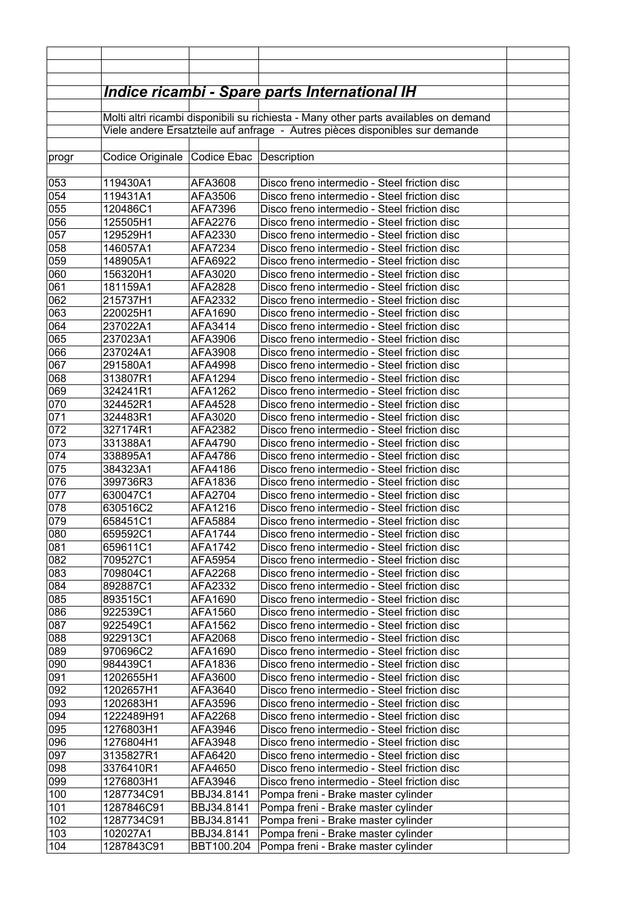|            |                                                                                      |                    | <u> Indice ricambi - Spare parts International IH</u>                                        |  |  |  |  |
|------------|--------------------------------------------------------------------------------------|--------------------|----------------------------------------------------------------------------------------------|--|--|--|--|
|            | Molti altri ricambi disponibili su richiesta - Many other parts availables on demand |                    |                                                                                              |  |  |  |  |
|            | Viele andere Ersatzteile auf anfrage - Autres pièces disponibles sur demande         |                    |                                                                                              |  |  |  |  |
| progr      | Codice Originale                                                                     | Codice Ebac        | Description                                                                                  |  |  |  |  |
| 053        | 119430A1                                                                             | AFA3608            | Disco freno intermedio - Steel friction disc                                                 |  |  |  |  |
| 054        | 119431A1                                                                             | AFA3506            | Disco freno intermedio - Steel friction disc                                                 |  |  |  |  |
| 055        | 120486C1                                                                             | AFA7396            | Disco freno intermedio - Steel friction disc                                                 |  |  |  |  |
| 056        | 125505H1                                                                             | AFA2276            | Disco freno intermedio - Steel friction disc                                                 |  |  |  |  |
| 057        | 129529H1                                                                             | AFA2330            | Disco freno intermedio - Steel friction disc                                                 |  |  |  |  |
| 058        | 146057A1                                                                             | AFA7234            | Disco freno intermedio - Steel friction disc                                                 |  |  |  |  |
| 059        | 148905A1                                                                             | AFA6922            | Disco freno intermedio - Steel friction disc                                                 |  |  |  |  |
| 060        | 156320H1                                                                             | AFA3020            | Disco freno intermedio - Steel friction disc                                                 |  |  |  |  |
| 061        | 181159A1                                                                             | AFA2828            | Disco freno intermedio - Steel friction disc                                                 |  |  |  |  |
| 062        | 215737H1                                                                             | AFA2332            | Disco freno intermedio - Steel friction disc                                                 |  |  |  |  |
| 063        | 220025H1                                                                             | AFA1690            | Disco freno intermedio - Steel friction disc                                                 |  |  |  |  |
| 064<br>065 | 237022A1<br>237023A1                                                                 | AFA3414            | Disco freno intermedio - Steel friction disc<br>Disco freno intermedio - Steel friction disc |  |  |  |  |
| 066        | 237024A1                                                                             | AFA3906            | Disco freno intermedio - Steel friction disc                                                 |  |  |  |  |
| 067        | 291580A1                                                                             | AFA3908<br>AFA4998 | Disco freno intermedio - Steel friction disc                                                 |  |  |  |  |
| 068        | 313807R1                                                                             | AFA1294            | Disco freno intermedio - Steel friction disc                                                 |  |  |  |  |
| 069        | 324241R1                                                                             | AFA1262            | Disco freno intermedio - Steel friction disc                                                 |  |  |  |  |
| 070        | 324452R1                                                                             | AFA4528            | Disco freno intermedio - Steel friction disc                                                 |  |  |  |  |
| 071        | 324483R1                                                                             | AFA3020            | Disco freno intermedio - Steel friction disc                                                 |  |  |  |  |
| 072        | 327174R1                                                                             | AFA2382            | Disco freno intermedio - Steel friction disc                                                 |  |  |  |  |
| 073        | 331388A1                                                                             | AFA4790            | Disco freno intermedio - Steel friction disc                                                 |  |  |  |  |
| 074        | 338895A1                                                                             | AFA4786            | Disco freno intermedio - Steel friction disc                                                 |  |  |  |  |
| 075        | 384323A1                                                                             | AFA4186            | Disco freno intermedio - Steel friction disc                                                 |  |  |  |  |
| 076        | 399736R3                                                                             | AFA1836            | Disco freno intermedio - Steel friction disc                                                 |  |  |  |  |
| 077        | 630047C1                                                                             | AFA2704            | Disco freno intermedio - Steel friction disc                                                 |  |  |  |  |
| 078        | 630516C2                                                                             | AFA1216            | Disco freno intermedio - Steel friction disc                                                 |  |  |  |  |
| 079        | 658451C1                                                                             | AFA5884            | Disco freno intermedio - Steel friction disc                                                 |  |  |  |  |
| 080        | 659592C1                                                                             | AFA1744            | Disco freno intermedio - Steel friction disc                                                 |  |  |  |  |
| 081        | 659611C1                                                                             | AFA1742            | Disco freno intermedio - Steel friction disc                                                 |  |  |  |  |
| 082        | 709527C1                                                                             | AFA5954            | Disco freno intermedio - Steel friction disc                                                 |  |  |  |  |
| 083        | 709804C1                                                                             | AFA2268            | Disco freno intermedio - Steel friction disc                                                 |  |  |  |  |
| 084        | 892887C1                                                                             | AFA2332            | Disco freno intermedio - Steel friction disc                                                 |  |  |  |  |
| 085        | 893515C1                                                                             | AFA1690            | Disco freno intermedio - Steel friction disc                                                 |  |  |  |  |
| 086<br>087 | 922539C1<br>922549C1                                                                 | AFA1560            | Disco freno intermedio - Steel friction disc<br>Disco freno intermedio - Steel friction disc |  |  |  |  |
| 088        | 922913C1                                                                             | AFA1562<br>AFA2068 | Disco freno intermedio - Steel friction disc                                                 |  |  |  |  |
| 089        | 970696C2                                                                             | AFA1690            | Disco freno intermedio - Steel friction disc                                                 |  |  |  |  |
| 090        | 984439C1                                                                             | AFA1836            | Disco freno intermedio - Steel friction disc                                                 |  |  |  |  |
| 091        | 1202655H1                                                                            | AFA3600            | Disco freno intermedio - Steel friction disc                                                 |  |  |  |  |
| 092        | 1202657H1                                                                            | AFA3640            | Disco freno intermedio - Steel friction disc                                                 |  |  |  |  |
| 093        | 1202683H1                                                                            | AFA3596            | Disco freno intermedio - Steel friction disc                                                 |  |  |  |  |
| 094        | 1222489H91                                                                           | AFA2268            | Disco freno intermedio - Steel friction disc                                                 |  |  |  |  |
| 095        | 1276803H1                                                                            | AFA3946            | Disco freno intermedio - Steel friction disc                                                 |  |  |  |  |
| 096        | 1276804H1                                                                            | AFA3948            | Disco freno intermedio - Steel friction disc                                                 |  |  |  |  |
| 097        | 3135827R1                                                                            | AFA6420            | Disco freno intermedio - Steel friction disc                                                 |  |  |  |  |
| 098        | 3376410R1                                                                            | AFA4650            | Disco freno intermedio - Steel friction disc                                                 |  |  |  |  |
| 099        | 1276803H1                                                                            | AFA3946            | Disco freno intermedio - Steel friction disc                                                 |  |  |  |  |
| 100        | 1287734C91                                                                           | BBJ34.8141         | Pompa freni - Brake master cylinder                                                          |  |  |  |  |
| 101        | 1287846C91                                                                           | BBJ34.8141         | Pompa freni - Brake master cylinder                                                          |  |  |  |  |
| 102        | 1287734C91                                                                           | BBJ34.8141         | Pompa freni - Brake master cylinder                                                          |  |  |  |  |
| 103        | 102027A1                                                                             | BBJ34.8141         | Pompa freni - Brake master cylinder                                                          |  |  |  |  |
| 104        | 1287843C91                                                                           | BBT100.204         | Pompa freni - Brake master cylinder                                                          |  |  |  |  |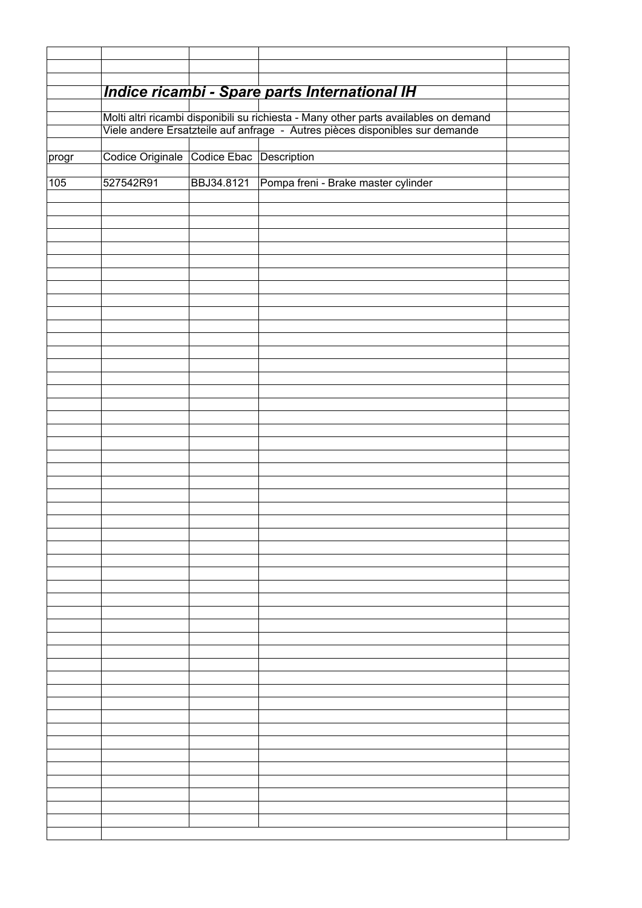|       |                                                                                                                                                                      |            | Indice ricambi - Spare parts International IH |  |  |  |  |
|-------|----------------------------------------------------------------------------------------------------------------------------------------------------------------------|------------|-----------------------------------------------|--|--|--|--|
|       |                                                                                                                                                                      |            |                                               |  |  |  |  |
|       | Molti altri ricambi disponibili su richiesta - Many other parts availables on demand<br>Viele andere Ersatzteile auf anfrage - Autres pièces disponibles sur demande |            |                                               |  |  |  |  |
|       |                                                                                                                                                                      |            |                                               |  |  |  |  |
| progr | Codice Originale Codice Ebac Description                                                                                                                             |            |                                               |  |  |  |  |
| 105   | 527542R91                                                                                                                                                            | BBJ34.8121 | Pompa freni - Brake master cylinder           |  |  |  |  |
|       |                                                                                                                                                                      |            |                                               |  |  |  |  |
|       |                                                                                                                                                                      |            |                                               |  |  |  |  |
|       |                                                                                                                                                                      |            |                                               |  |  |  |  |
|       |                                                                                                                                                                      |            |                                               |  |  |  |  |
|       |                                                                                                                                                                      |            |                                               |  |  |  |  |
|       |                                                                                                                                                                      |            |                                               |  |  |  |  |
|       |                                                                                                                                                                      |            |                                               |  |  |  |  |
|       |                                                                                                                                                                      |            |                                               |  |  |  |  |
|       |                                                                                                                                                                      |            |                                               |  |  |  |  |
|       |                                                                                                                                                                      |            |                                               |  |  |  |  |
|       |                                                                                                                                                                      |            |                                               |  |  |  |  |
|       |                                                                                                                                                                      |            |                                               |  |  |  |  |
|       |                                                                                                                                                                      |            |                                               |  |  |  |  |
|       |                                                                                                                                                                      |            |                                               |  |  |  |  |
|       |                                                                                                                                                                      |            |                                               |  |  |  |  |
|       |                                                                                                                                                                      |            |                                               |  |  |  |  |
|       |                                                                                                                                                                      |            |                                               |  |  |  |  |
|       |                                                                                                                                                                      |            |                                               |  |  |  |  |
|       |                                                                                                                                                                      |            |                                               |  |  |  |  |
|       |                                                                                                                                                                      |            |                                               |  |  |  |  |
|       |                                                                                                                                                                      |            |                                               |  |  |  |  |
|       |                                                                                                                                                                      |            |                                               |  |  |  |  |
|       |                                                                                                                                                                      |            |                                               |  |  |  |  |
|       |                                                                                                                                                                      |            |                                               |  |  |  |  |
|       |                                                                                                                                                                      |            |                                               |  |  |  |  |
|       |                                                                                                                                                                      |            |                                               |  |  |  |  |
|       |                                                                                                                                                                      |            |                                               |  |  |  |  |
|       |                                                                                                                                                                      |            |                                               |  |  |  |  |
|       |                                                                                                                                                                      |            |                                               |  |  |  |  |
|       |                                                                                                                                                                      |            |                                               |  |  |  |  |
|       |                                                                                                                                                                      |            |                                               |  |  |  |  |
|       |                                                                                                                                                                      |            |                                               |  |  |  |  |
|       |                                                                                                                                                                      |            |                                               |  |  |  |  |
|       |                                                                                                                                                                      |            |                                               |  |  |  |  |
|       |                                                                                                                                                                      |            |                                               |  |  |  |  |
|       |                                                                                                                                                                      |            |                                               |  |  |  |  |
|       |                                                                                                                                                                      |            |                                               |  |  |  |  |
|       |                                                                                                                                                                      |            |                                               |  |  |  |  |
|       |                                                                                                                                                                      |            |                                               |  |  |  |  |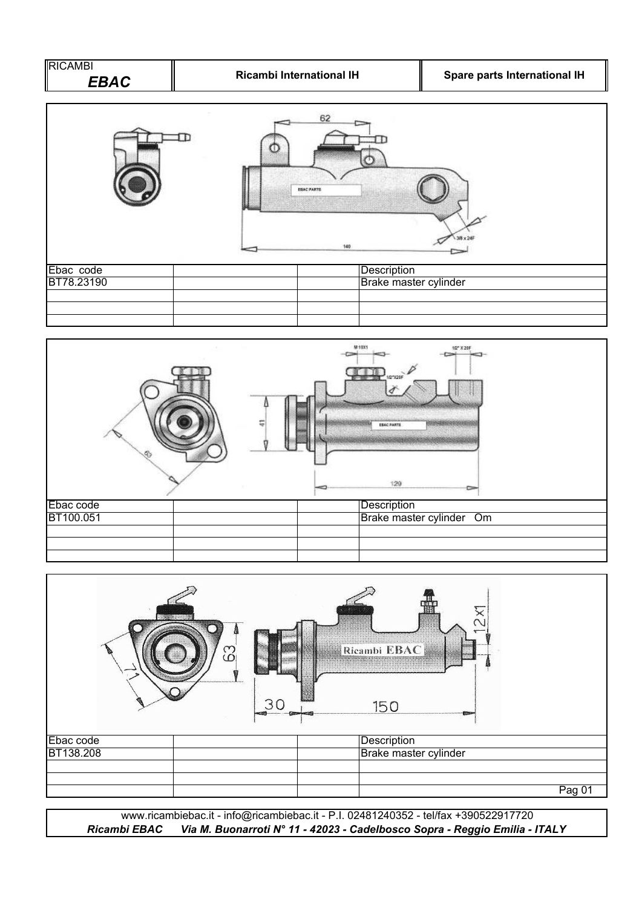





*Ricambi EBAC Via M. Buonarroti N° 11 - 42023 - Cadelbosco Sopra - Reggio Emilia - ITALY* www.ricambiebac.it - info@ricambiebac.it - P.I. 02481240352 - tel/fax +390522917720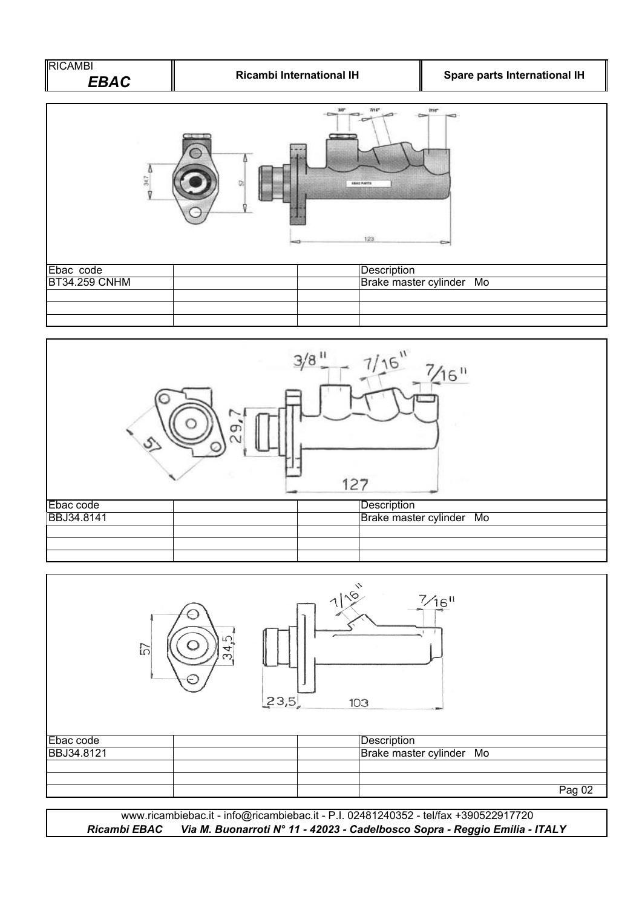



|            | $\overline{\mathbb{C}}$<br>57<br>4<br>ო | 23,5 | 715 | $\frac{7}{16}$<br>103    |        |
|------------|-----------------------------------------|------|-----|--------------------------|--------|
| Ebac code  |                                         |      |     | Description              |        |
| BBJ34.8121 |                                         |      |     | Brake master cylinder Mo |        |
|            |                                         |      |     |                          |        |
|            |                                         |      |     |                          |        |
|            |                                         |      |     |                          | Pag 02 |

www.ricambiebac.it - info@ricambiebac.it - P.I. 02481240352 - tel/fax +390522917720 *Ricambi EBAC Via M. Buonarroti N° 11 - 42023 - Cadelbosco Sopra - Reggio Emilia - ITALY*